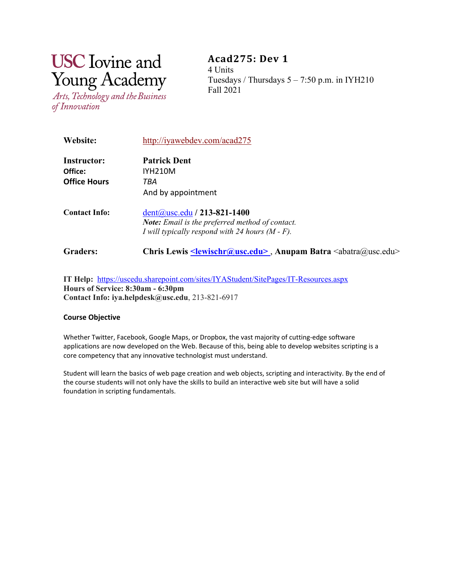# **USC** Iovine and **Young Academy**

Arts, Technology and the Business of Innovation

**Acad275: Dev 1** 4 Units Tuesdays / Thursdays  $5 - 7:50$  p.m. in IYH210 Fall 2021

| <b>Website:</b>      | http://iyawebdev.com/acad275                                                                              |
|----------------------|-----------------------------------------------------------------------------------------------------------|
| Instructor:          | <b>Patrick Dent</b>                                                                                       |
| Office:              | <b>IYH210M</b>                                                                                            |
| <b>Office Hours</b>  | TBA                                                                                                       |
|                      | And by appointment                                                                                        |
| <b>Contact Info:</b> | $dent@usc.edu/213-821-1400$                                                                               |
|                      | Note: Email is the preferred method of contact.                                                           |
|                      | I will typically respond with 24 hours $(M - F)$ .                                                        |
| <b>Graders:</b>      | Chris Lewis <u><lewischr@usc.edu></lewischr@usc.edu></u> , Anupam Batra <abatra@usc.edu></abatra@usc.edu> |

**IT Help:** <https://uscedu.sharepoint.com/sites/IYAStudent/SitePages/IT-Resources.aspx> **Hours of Service: 8:30am - 6:30pm Contact Info: iya.helpdesk@usc.edu**, 213-821-6917

# **Course Objective**

Whether Twitter, Facebook, Google Maps, or Dropbox, the vast majority of cutting-edge software applications are now developed on the Web. Because of this, being able to develop websites scripting is a core competency that any innovative technologist must understand.

Student will learn the basics of web page creation and web objects, scripting and interactivity. By the end of the course students will not only have the skills to build an interactive web site but will have a solid foundation in scripting fundamentals.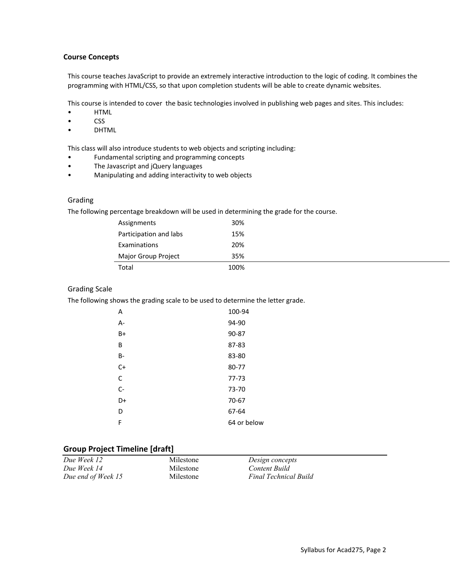#### **Course Concepts**

This course teaches JavaScript to provide an extremely interactive introduction to the logic of coding. It combines the programming with HTML/CSS, so that upon completion students will be able to create dynamic websites.

This course is intended to cover the basic technologies involved in publishing web pages and sites. This includes:

- HTML
- CSS
- **DHTML**

This class will also introduce students to web objects and scripting including:

- Fundamental scripting and programming concepts
- The Javascript and jQuery languages
- Manipulating and adding interactivity to web objects

#### Grading

The following percentage breakdown will be used in determining the grade for the course.

| Assignments            | 30%  |  |
|------------------------|------|--|
| Participation and labs | 15%  |  |
| Examinations           | 20%  |  |
| Major Group Project    | 35%  |  |
| Total                  | 100% |  |

#### Grading Scale

The following shows the grading scale to be used to determine the letter grade.

| Α         | 100-94      |
|-----------|-------------|
| A-        | 94-90       |
| $B+$      | 90-87       |
| B         | 87-83       |
| <b>B-</b> | 83-80       |
| $C+$      | 80-77       |
| C         | $77 - 73$   |
| $C -$     | 73-70       |
| D+        | 70-67       |
| D         | 67-64       |
| F         | 64 or below |

#### **Group Project Timeline [draft]**

| Due Week 12        | Milestone | Design concepts              |
|--------------------|-----------|------------------------------|
| Due Week 14        | Milestone | Content Build                |
| Due end of Week 15 | Milestone | <b>Final Technical Build</b> |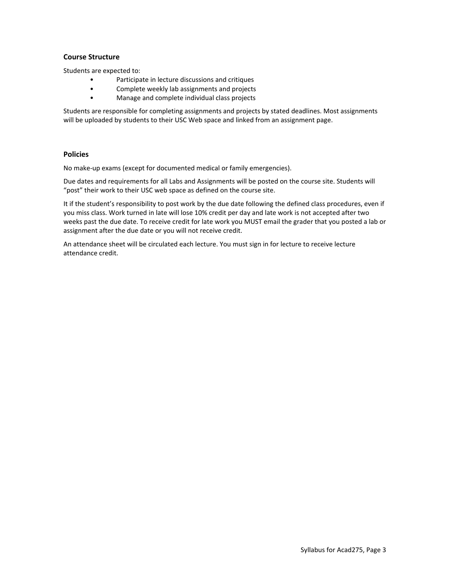## **Course Structure**

Students are expected to:

- Participate in lecture discussions and critiques
- Complete weekly lab assignments and projects
- Manage and complete individual class projects

Students are responsible for completing assignments and projects by stated deadlines. Most assignments will be uploaded by students to their USC Web space and linked from an assignment page.

## **Policies**

No make-up exams (except for documented medical or family emergencies).

Due dates and requirements for all Labs and Assignments will be posted on the course site. Students will "post" their work to their USC web space as defined on the course site.

It if the student's responsibility to post work by the due date following the defined class procedures, even if you miss class. Work turned in late will lose 10% credit per day and late work is not accepted after two weeks past the due date. To receive credit for late work you MUST email the grader that you posted a lab or assignment after the due date or you will not receive credit.

An attendance sheet will be circulated each lecture. You must sign in for lecture to receive lecture attendance credit.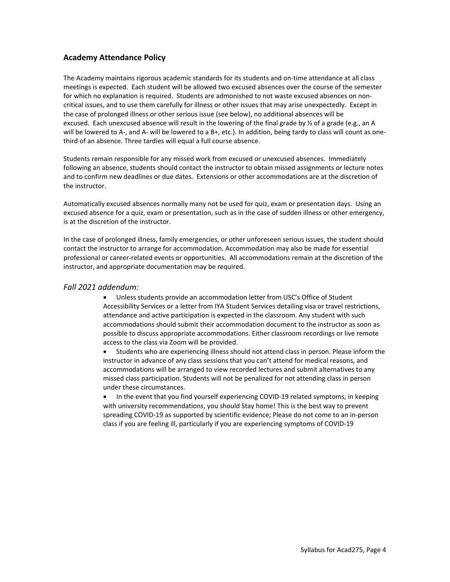# **Academy Attendance Policy**

The Academy maintains rigorous academic standards for its students and on-time attendance at all class meetings is expected.  Each student will be allowed two excused absences over the course of the semester for which no explanation is required. Students are admonished to not waste excused absences on noncritical issues, and to use them carefully for illness or other issues that may arise unexpectedly.  Except in the case of prolonged illness or other serious issue (see below), no additional absences will be excused. Each unexcused absence will result in the lowering of the final grade by ⅓ of a grade (e.g., an A will be lowered to A-, and A- will be lowered to a B+, etc.). In addition, being tardy to class will count as onethird of an absence. Three tardies will equal a full course absence.

Students remain responsible for any missed work from excused or unexcused absences.  Immediately following an absence, students should contact the instructor to obtain missed assignments or lecture notes and to confirm new deadlines or due dates.  Extensions or other accommodations are at the discretion of the instructor.

Automatically excused absences normally many not be used for quiz, exam or presentation days.  Using an excused absence for a quiz, exam or presentation, such as in the case of sudden illness or other emergency, is at the discretion of the instructor.

In the case of prolonged illness, family emergencies, or other unforeseen serious issues, the student should contact the instructor to arrange for accommodation. Accommodation may also be made for essential professional or career-related events or opportunities.  All accommodations remain at the discretion of the instructor, and appropriate documentation may be required.

# *Fall 2021 addendum:*

• Unless students provide an accommodation letter from USC's Office of Student Accessibility Services or a letter from IYA Student Services detailing visa or travel restrictions, attendance and active participation is expected in the classroom. Any student with such accommodations should submit their accommodation document to the instructor as soon as possible to discuss appropriate accommodations. Either classroom recordings or live remote access to the class via Zoom will be provided.

• Students who are experiencing illness should not attend class in person. Please inform the instructor in advance of any class sessions that you can't attend for medical reasons, and accommodations will be arranged to view recorded lectures and submit alternatives to any missed class participation. Students will not be penalized for not attending class in person under these circumstances.

• In the event that you find yourself experiencing COVID-19 related symptoms, in keeping with university recommendations, you should Stay home! This is the best way to prevent spreading COVID-19 as supported by scientific evidence; Please do not come to an in-person class if you are feeling ill, particularly if you are experiencing symptoms of COVID-19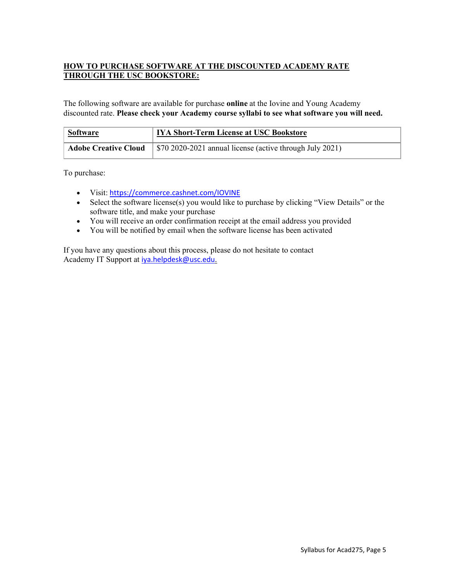# **HOW TO PURCHASE SOFTWARE AT THE DISCOUNTED ACADEMY RATE THROUGH THE USC BOOKSTORE:**

The following software are available for purchase **online** at the Iovine and Young Academy discounted rate. **Please check your Academy course syllabi to see what software you will need.**

| <b>Software</b>             | <b>IYA Short-Term License at USC Bookstore</b>                         |
|-----------------------------|------------------------------------------------------------------------|
| <b>Adobe Creative Cloud</b> | $\frac{1}{2}$ \$70 2020-2021 annual license (active through July 2021) |

To purchase:

- Visit: <https://commerce.cashnet.com/IOVINE>
- Select the software license(s) you would like to purchase by clicking "View Details" or the software title, and make your purchase
- You will receive an order confirmation receipt at the email address you provided
- You will be notified by email when the software license has been activated

If you have any questions about this process, please do not hesitate to contact Academy IT Support at [iya.helpdesk@usc.edu](mailto:iya.helpdesk@usc.edu).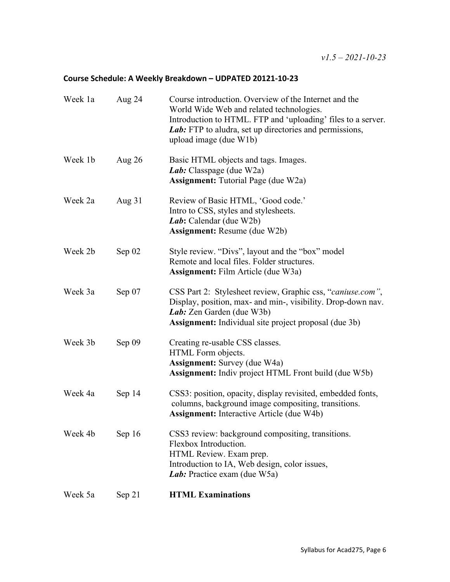# **Course Schedule: A Weekly Breakdown – UDPATED 20121-10-23**

| Week 1a | Aug 24   | Course introduction. Overview of the Internet and the<br>World Wide Web and related technologies.<br>Introduction to HTML. FTP and 'uploading' files to a server.<br><i>Lab</i> : FTP to aludra, set up directories and permissions,<br>upload image (due W1b) |
|---------|----------|----------------------------------------------------------------------------------------------------------------------------------------------------------------------------------------------------------------------------------------------------------------|
| Week 1b | Aug $26$ | Basic HTML objects and tags. Images.<br>Lab: Classpage (due W2a)<br><b>Assignment:</b> Tutorial Page (due W2a)                                                                                                                                                 |
| Week 2a | Aug $31$ | Review of Basic HTML, 'Good code.'<br>Intro to CSS, styles and stylesheets.<br>Lab: Calendar (due W2b)<br><b>Assignment:</b> Resume (due W2b)                                                                                                                  |
| Week 2b | Sep $02$ | Style review. "Divs", layout and the "box" model<br>Remote and local files. Folder structures.<br><b>Assignment:</b> Film Article (due W3a)                                                                                                                    |
| Week 3a | Sep $07$ | CSS Part 2: Stylesheet review, Graphic css, "caniuse.com",<br>Display, position, max- and min-, visibility. Drop-down nav.<br>Lab: Zen Garden (due W3b)<br><b>Assignment:</b> Individual site project proposal (due 3b)                                        |
| Week 3b | Sep 09   | Creating re-usable CSS classes.<br>HTML Form objects.<br><b>Assignment:</b> Survey (due W4a)<br><b>Assignment:</b> Indiv project HTML Front build (due W5b)                                                                                                    |
| Week 4a | Sep 14   | CSS3: position, opacity, display revisited, embedded fonts,<br>columns, background image compositing, transitions.<br><b>Assignment:</b> Interactive Article (due W4b)                                                                                         |
| Week 4b | Sep 16   | CSS3 review: background compositing, transitions.<br>Flexbox Introduction.<br>HTML Review. Exam prep.<br>Introduction to IA, Web design, color issues,<br>Lab: Practice exam (due W5a)                                                                         |
| Week 5a | Sep 21   | <b>HTML Examinations</b>                                                                                                                                                                                                                                       |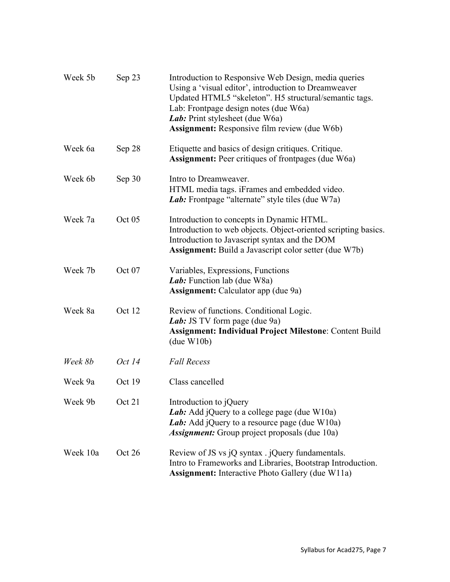| Week 5b  | Sep 23 | Introduction to Responsive Web Design, media queries<br>Using a 'visual editor', introduction to Dreamweaver<br>Updated HTML5 "skeleton". H5 structural/semantic tags.<br>Lab: Frontpage design notes (due W6a)<br>Lab: Print stylesheet (due W6a)<br><b>Assignment:</b> Responsive film review (due W6b) |
|----------|--------|-----------------------------------------------------------------------------------------------------------------------------------------------------------------------------------------------------------------------------------------------------------------------------------------------------------|
| Week 6a  | Sep 28 | Etiquette and basics of design critiques. Critique.<br><b>Assignment:</b> Peer critiques of frontpages (due W6a)                                                                                                                                                                                          |
| Week 6b  | Sep 30 | Intro to Dreamweaver.<br>HTML media tags. iFrames and embedded video.<br><i>Lab</i> : Frontpage "alternate" style tiles (due W7a)                                                                                                                                                                         |
| Week 7a  | Oct 05 | Introduction to concepts in Dynamic HTML.<br>Introduction to web objects. Object-oriented scripting basics.<br>Introduction to Javascript syntax and the DOM<br>Assignment: Build a Javascript color setter (due W7b)                                                                                     |
| Week 7b  | Oct 07 | Variables, Expressions, Functions<br>Lab: Function lab (due W8a)<br><b>Assignment:</b> Calculator app (due 9a)                                                                                                                                                                                            |
| Week 8a  | Oct 12 | Review of functions. Conditional Logic.<br>Lab: JS TV form page (due 9a)<br><b>Assignment: Individual Project Milestone: Content Build</b><br>(due W10b)                                                                                                                                                  |
| Week 8b  | Oct 14 | <b>Fall Recess</b>                                                                                                                                                                                                                                                                                        |
| Week 9a  | Oct 19 | Class cancelled                                                                                                                                                                                                                                                                                           |
| Week 9b  | Oct 21 | Introduction to jQuery<br><i>Lab</i> : Add jQuery to a college page (due W10a)<br><i>Lab</i> : Add jQuery to a resource page (due W10a)<br><b>Assignment:</b> Group project proposals (due 10a)                                                                                                           |
| Week 10a | Oct 26 | Review of JS vs jQ syntax . jQuery fundamentals.<br>Intro to Frameworks and Libraries, Bootstrap Introduction.<br><b>Assignment:</b> Interactive Photo Gallery (due W11a)                                                                                                                                 |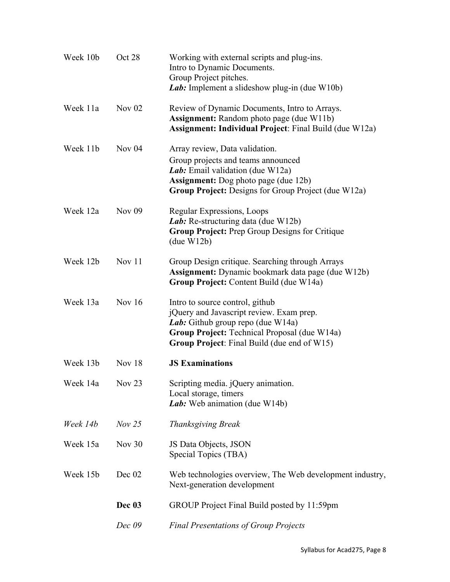| Week 10b | Oct 28   | Working with external scripts and plug-ins.<br>Intro to Dynamic Documents.<br>Group Project pitches.<br>Lab: Implement a slideshow plug-in (due W10b)                                                                  |
|----------|----------|------------------------------------------------------------------------------------------------------------------------------------------------------------------------------------------------------------------------|
| Week 11a | Nov $02$ | Review of Dynamic Documents, Intro to Arrays.<br><b>Assignment:</b> Random photo page (due W11b)<br>Assignment: Individual Project: Final Build (due W12a)                                                             |
| Week 11b | Nov $04$ | Array review, Data validation.<br>Group projects and teams announced<br>Lab: Email validation (due W12a)<br><b>Assignment:</b> Dog photo page (due 12b)<br>Group Project: Designs for Group Project (due W12a)         |
| Week 12a | Nov $09$ | Regular Expressions, Loops<br><i>Lab</i> : Re-structuring data (due W12b)<br><b>Group Project:</b> Prep Group Designs for Critique<br>(due W12b)                                                                       |
| Week 12b | Nov $11$ | Group Design critique. Searching through Arrays<br>Assignment: Dynamic bookmark data page (due W12b)<br>Group Project: Content Build (due W14a)                                                                        |
| Week 13a | Nov $16$ | Intro to source control, github<br>jQuery and Javascript review. Exam prep.<br>Lab: Github group repo (due W14a)<br>Group Project: Technical Proposal (due W14a)<br><b>Group Project:</b> Final Build (due end of W15) |
| Week 13b | Nov $18$ | <b>JS Examinations</b>                                                                                                                                                                                                 |
| Week 14a | Nov $23$ | Scripting media. jQuery animation.<br>Local storage, timers<br>Lab: Web animation (due W14b)                                                                                                                           |
| Week 14b | Nov 25   | <b>Thanksgiving Break</b>                                                                                                                                                                                              |
| Week 15a | Nov $30$ | JS Data Objects, JSON<br>Special Topics (TBA)                                                                                                                                                                          |
| Week 15b | Dec 02   | Web technologies overview, The Web development industry,<br>Next-generation development                                                                                                                                |
|          | Dec 03   | GROUP Project Final Build posted by 11:59pm                                                                                                                                                                            |
|          | Dec 09   | <b>Final Presentations of Group Projects</b>                                                                                                                                                                           |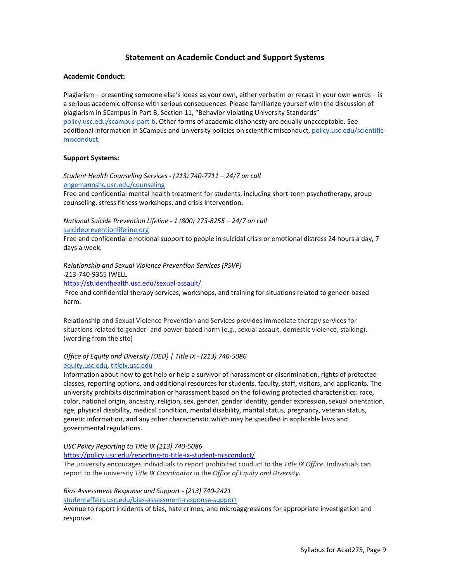# **Statement on Academic Conduct and Support Systems**

#### **Academic Conduct:**

Plagiarism – presenting someone else's ideas as your own, either verbatim or recast in your own words – is a serious academic offense with serious consequences. Please familiarize yourself with the discussion of plagiarism in SCampus in Part B, Section 11, "Behavior Violating University Standards" [policy.usc.edu/scampus-part-b.](https://policy.usc.edu/scampus-part-b/) Other forms of academic dishonesty are equally unacceptable. See additional information in SCampus and university policies on scientific misconduct[, policy.usc.edu/scientific](http://policy.usc.edu/scientific-misconduct)[misconduct.](http://policy.usc.edu/scientific-misconduct)

#### **Support Systems:**

*Student Health Counseling Services - (213) 740-7711 – 24/7 on call* [engemannshc.usc.edu/counseling](https://engemannshc.usc.edu/counseling/)

Free and confidential mental health treatment for students, including short-term psychotherapy, group counseling, stress fitness workshops, and crisis intervention.

*National Suicide Prevention Lifeline - 1 (800) 273-8255 – 24/7 on call* [suicidepreventionlifeline.org](http://www.suicidepreventionlifeline.org/)

Free and confidential emotional support to people in suicidal crisis or emotional distress 24 hours a day, 7 days a week.

*Relationship and Sexual Violence Prevention Services (RSVP)* 

213-740-9355 (WELL

<https://studenthealth.usc.edu/sexual-assault/>

Free and confidential therapy services, workshops, and training for situations related to gender-based harm.

Relationship and Sexual Violence Prevention and Services provides immediate therapy services for situations related to gender- and power-based harm (e.g., sexual assault, domestic violence, stalking). (wording from the site[\)](https://engemannshc.usc.edu/rsvp/)

#### *Office of Equity and Diversity (OED) | Title IX - (213) 740-5086* [equity.usc.edu,](https://equity.usc.edu/) [titleix.usc.edu](http://titleix.usc.edu/)

Information about how to get help or help a survivor of harassment or discrimination, rights of protected classes, reporting options, and additional resources for students, faculty, staff, visitors, and applicants. The university prohibits discrimination or harassment based on the following protected characteristics: race, color, national origin, ancestry, religion, sex, gender, gender identity, gender expression, sexual orientation, age, physical disability, medical condition, mental disability, marital status, pregnancy, veteran status, genetic information, and any other characteristic which may be specified in applicable laws and governmental regulations.

#### *USC Policy Reporting to Title IX (213) 740-5086*

<https://policy.usc.edu/reporting-to-title-ix-student-misconduct/>

The university encourages individuals to report prohibited conduct to the *Title IX Office*. Individuals can report to the university *Title IX Coordinator* in the *Office of Equity and Diversity[.](http://sarc.usc.edu/)*

#### *Bias Assessment Response and Support - (213) 740-2421*

[studentaffairs.usc.edu/bias-assessment-response-support](https://studentaffairs.usc.edu/bias-assessment-response-support/)

Avenue to report incidents of bias, hate crimes, and microaggressions for appropriate investigation and response[.](https://studentaffairs.usc.edu/bias-assessment-response-support/)